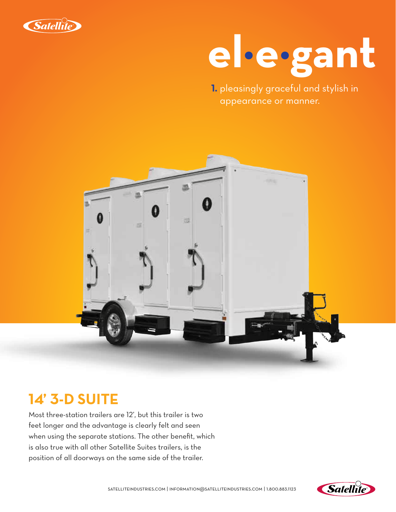



**1.** pleasingly graceful and stylish in appearance or manner.



### **14' 3-D SUITE**

Most three-station trailers are 12', but this trailer is two feet longer and the advantage is clearly felt and seen when using the separate stations. The other benefit, which is also true with all other Satellite Suites trailers, is the position of all doorways on the same side of the trailer.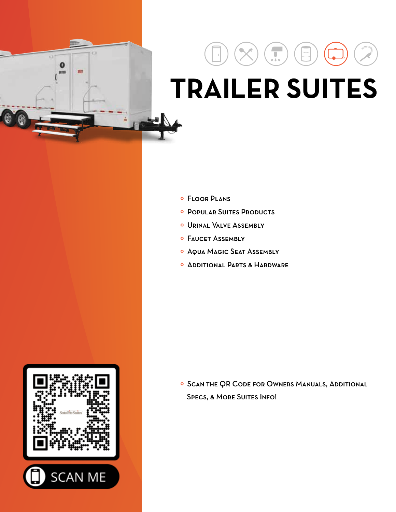# $\bullet$ BIT ENTLK

# $\prod_{i=1}^n$  **TRAILER SUITES**

- º Floor Plans
- º Popular Suites Products
- º Urinal Valve Assembly
- º Faucet Assembly
- º Aqua Magic Seat Assembly
- º Additional Parts & Hardware

º Scan the QR Code for Owners Manuals, Additional SPECS, & MORE SUITES INFO!

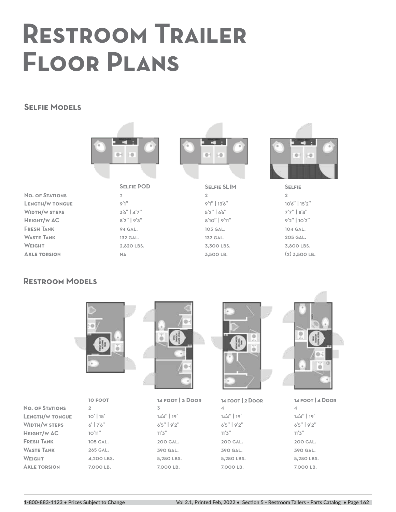## **Restroom Trailer Floor Plans**

#### **Selfie Models**



 $\overline{2}$  $9'1"$  $3'6''$  |  $4'7''$ 8'2" | 9'3" 94 gal. 132 gal. 2,820 lbs. **NA** 

**Selfie POD**



 $\overline{2}$ 9'1" | 13'6"  $5'2''$  | 6'6" 8'10" | 9'11" 103 gal. 132 gal. 3,300 lbs. 3,500 lb. **Selfie SLIM**



 $\overline{2}$ 10'6" | 15'2" 7'7" | 8'8" 9'2" | 10'2" 104 gal. 205 gal. 3,800 lbs.  $(2)$  3,500 LB. **Selfie**

**No. of Stations Length/w tongue Width/w steps Height/w AC Fresh Tank Waste Tank Weight Axle torsion**

#### **Restroom Models**



2 10' | 15' 6' | 7'6" 10'11" 105 gal. 265 gal. 4,200 lbs. 7,000 lb. **10 foot No. of Stations Length/w tongue Width/w steps Height/w AC Fresh Tank Waste Tank Weight Axle torsion**



3 14'4" | 19' 6'5" | 9'2"  $11'3''$ 200 gal. 390 gal. 5,280 LBS. 7,000 lb. **14 foot | 3 Door**



4 14'4" | 19' 6'5" | 9'2"  $11'3''$ 200 gal. 390 gal. 5,280 LBS. 7,000 lb. **14 foot | 2 Door**



4 14'4" | 19' 6'5" | 9'2"  $11'3''$ 200 gal. 390 gal. 5,280 LBS. 7,000 lb. **14 foot | 4 Door**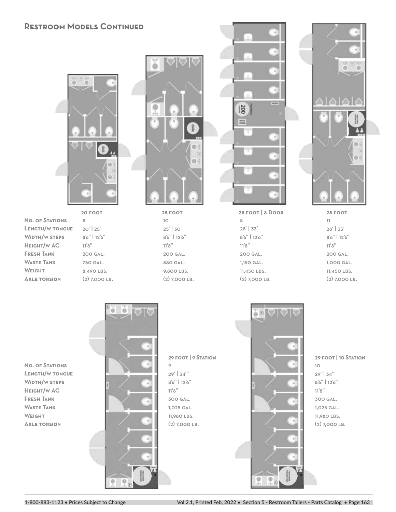#### **Restroom Models Continued**



**No. of Stations Length/w tongue Width/w steps Height/w AC Fresh Tank Waste Tank Weight Axle torsion**

8 20' | 25' 8'6" | 12'6"  $11'8^{\prime\prime}$ 200 gal. 750 gal. 8,490 LBS. (2) 7,000 lb. **20 foot**



10 25' | 30' 8'6" | 12'6"  $11'8^{\prime\prime}$ 200 gal. 880 gal. 9,800 lbs. (2) 7,000 lb. **25 foot**



8 28' | 33' 8'6" | 12'6"  $11'8"$ 200 gal. 1,150 gal. 11,450 LBS. (2) 7,000 lb.



11 28' | 33' 8'6" | 12'6"  $11'8^{\prime\prime}$ 200 gal. **28 foot**

1,000 gal. 11,450 lbs. (2) 7,000 lb.

**No. of Stations Length/w tongue Width/w steps Height/w AC Fresh Tank Waste Tank Weight Axle torsion**



9 29' | 34'" 8'6" | 12'6"  $11'8^{\prime\prime}$ 300 gal. 1,025 gal. 11,980 LBS. **29 foot | 9 Station**



10 29' | 34'" 8'6" | 12'6"  $11'8"$ 300 gal. 1,025 gal. 11,980 LBS. (2) 7,000 lb. **29 foot | 10 Station**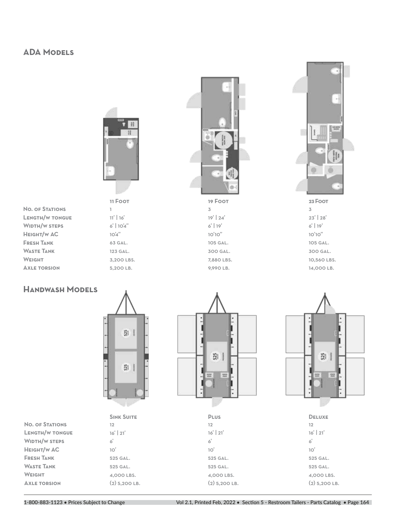#### **ADA Models**



1 11' | 16' 6' | 10'4" 10'4" 63 gal. 123 gal. 3,200 LBS. 5,200 lb.

| <b>NO. OF STATIONS</b> |
|------------------------|
| <b>LENGTH/W TONGUE</b> |
| WIDTH/W STEPS          |
| Height/w AC            |
| <b>FRESH TANK</b>      |
| WASTE TANK             |
| WEIGHT                 |
| <b>AXLE TORSION</b>    |
|                        |



3 19' | 24' 6' | 19' 10'10" 105 gal. 300 gal. 7,880 lbs. 9,990 lb. **11 Foot 19 Foot 23 Foot**



3 23' | 28' 6' | 19' 10'10" 105 gal. 300 gal. 10,560 lbs. 14,000 lb.

#### **Handwash Models**



**SINK SUITE** 

6' 10' 525 gal. 525 gal. 4,000 lbs.  $(2)$  5,200 LB.

| <b>NO. OF STATIONS</b> |
|------------------------|
| <b>LENGTH/W TONGUE</b> |
| <b>WIDTH/W STEPS</b>   |
| <b>HEIGHT/W AC</b>     |
| <b>FRESH TANK</b>      |
| <b>WASTE TANK</b>      |
| <b>WEIGHT</b>          |
| <b>AXLE TORSION</b>    |



12 16' | 21'



| <b>PLUS</b>     |
|-----------------|
| 12              |
| $16'$   $21'$   |
| 6'              |
| 10'             |
| 525 GAL.        |
| 525 GAL.        |
| 4,000 LBS.      |
| $(2)$ 5,200 LB. |



| <b>DELUXE</b>   |
|-----------------|
| 12              |
| $16'$   $21'$   |
| $\mathbf{6}'$   |
| 10'             |
| 525 GAL.        |
| 525 GAL.        |
| 4,000 LBS.      |
| $(2)$ 5,200 LB. |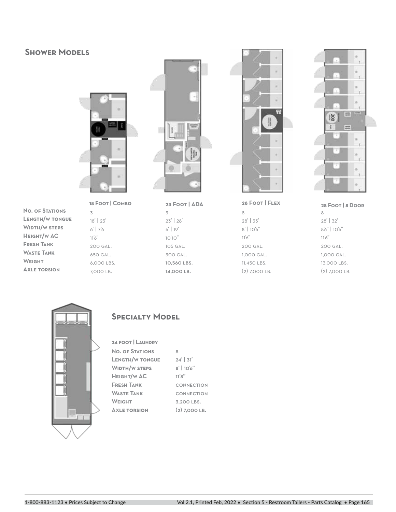#### **Shower Models**



**No. of Stations Length/w tongue Width/w steps Height/w AC Fresh Tank Waste Tank Weight Axle torsion**

3 18' | 23' 6' | 7'6  $11'6''$ 200 gal. 650 gal. 6,000 lbs. 7,000 lb.



**23 Foot | ADA**

3 23' | 28' 6' | 19' 10'10" 105 gal. 300 gal. 10,560 lbs. 14,000 lb.



**28 Foot | Flex**

8 28' | 33' 8' | 10'6"  $11'6''$ 200 gal. 1,000 gal. 11,450 lbs. (2) 7,000 lb.



8 28' | 32' 8'6" | 10'6"  $11'6''$ 200 gal. 1,000 gal. 13,000 lbs. (2) 7,000 lb.



#### **Specialty Model**

| <b>24 FOOT   LAUNDRY</b> |                 |
|--------------------------|-----------------|
| <b>NO. OF STATIONS</b>   | 8               |
| <b>LENGTH/W TONGUE</b>   | $24'$ 31'       |
| <b>WIDTH/W STEPS</b>     | $8'$   10'6"    |
| HEIGHT/W AC              | 11'8''          |
| <b>FRESH TANK</b>        | CONNECTION      |
| <b>WASTE TANK</b>        | CONNECTION      |
| <b>WEIGHT</b>            | 3.200 LBS.      |
| <b>AXLE TORSION</b>      | $(2)$ 7.000 LB. |
|                          |                 |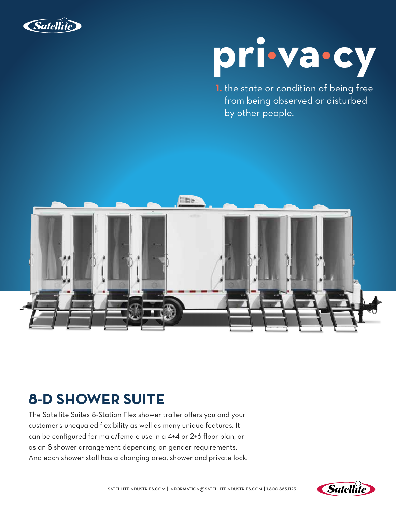



**1.** the state or condition of being free from being observed or disturbed by other people.



### **8-D SHOWER SUITE**

The Satellite Suites 8-Station Flex shower trailer offers you and your customer's unequaled flexibility as well as many unique features. It can be configured for male/female use in a 4+4 or 2+6 floor plan, or as an 8 shower arrangement depending on gender requirements. And each shower stall has a changing area, shower and private lock.

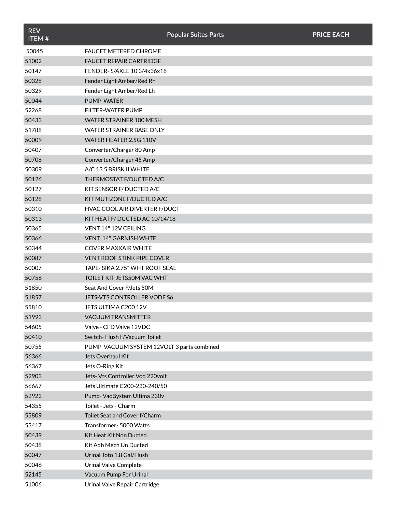| <b>REV</b><br>ITEM# |                                            | <b>Popular Suites Parts</b> | <b>PRICE EACH</b> |
|---------------------|--------------------------------------------|-----------------------------|-------------------|
| 50045               | <b>FAUCET METERED CHROME</b>               |                             |                   |
| 51002               | <b>FAUCET REPAIR CARTRIDGE</b>             |                             |                   |
| 50147               | FENDER-S/AXLE 10 3/4x36x18                 |                             |                   |
| 50328               | Fender Light Amber/Red Rh                  |                             |                   |
| 50329               | Fender Light Amber/Red Lh                  |                             |                   |
| 50044               | <b>PUMP-WATER</b>                          |                             |                   |
| 52268               | <b>FILTER-WATER PUMP</b>                   |                             |                   |
| 50433               | WATER STRAINER 100 MESH                    |                             |                   |
| 51788               | WATER STRAINER BASE ONLY                   |                             |                   |
| 50009               | WATER HEATER 2.5G 110V                     |                             |                   |
| 50407               | Converter/Charger 80 Amp                   |                             |                   |
| 50708               | Converter/Charger 45 Amp                   |                             |                   |
| 50309               | A/C 13.5 BRISK II WHITE                    |                             |                   |
| 50126               | THERMOSTAT F/DUCTED A/C                    |                             |                   |
| 50127               | KIT SENSOR F/ DUCTED A/C                   |                             |                   |
| 50128               | KIT MUTIZONE F/DUCTED A/C                  |                             |                   |
| 50310               | HVAC COOL AIR DIVERTER F/DUCT              |                             |                   |
| 50313               | KIT HEAT F/DUCTED AC 10/14/18              |                             |                   |
| 50365               | VENT 14" 12V CEILING                       |                             |                   |
| 50366               | VENT 14" GARNISH WHTE                      |                             |                   |
| 50344               | <b>COVER MAXXAIR WHITE</b>                 |                             |                   |
| 50087               | <b>VENT ROOF STINK PIPE COVER</b>          |                             |                   |
| 50007               | TAPE-SIKA 2.75" WHT ROOF SEAL              |                             |                   |
| 50756               | TOILET KIT JETS50M VAC WHT                 |                             |                   |
| 51850               | Seat And Cover F/Jets 50M                  |                             |                   |
| 51857               | JETS-VTS CONTROLLER VODE S6                |                             |                   |
| 55810               | JETS ULTIMA C200 12V                       |                             |                   |
| 51993               | <b>VACUUM TRANSMITTER</b>                  |                             |                   |
| 54605               | Valve - CFD Valve 12VDC                    |                             |                   |
| 50410               | Switch-Flush F/Vacuum Toilet               |                             |                   |
| 50755               | PUMP VACUUM SYSTEM 12VOLT 3 parts combined |                             |                   |
| 56366               | Jets Overhaul Kit                          |                             |                   |
| 56367               | Jets O-Ring Kit                            |                             |                   |
| 52903               | Jets- Vts Controller Vod 220volt           |                             |                   |
| 56667               | Jets Ultimate C200-230-240/50              |                             |                   |
| 52923               | Pump- Vac System Ultima 230v               |                             |                   |
| 54355               | Toilet - Jets - Charm                      |                             |                   |
| 55809               | Toilet Seat and Cover f/Charm              |                             |                   |
| 53417               | Transformer- 5000 Watts                    |                             |                   |
| 50439               | Kit Heat Kit Non Ducted                    |                             |                   |
| 50438               | Kit Adb Mech Un Ducted                     |                             |                   |
| 50047               | Urinal Toto 1.8 Gal/Flush                  |                             |                   |
| 50046               | <b>Urinal Valve Complete</b>               |                             |                   |
| 52145               | Vacuum Pump For Urinal                     |                             |                   |
| 51006               | Urinal Valve Repair Cartridge              |                             |                   |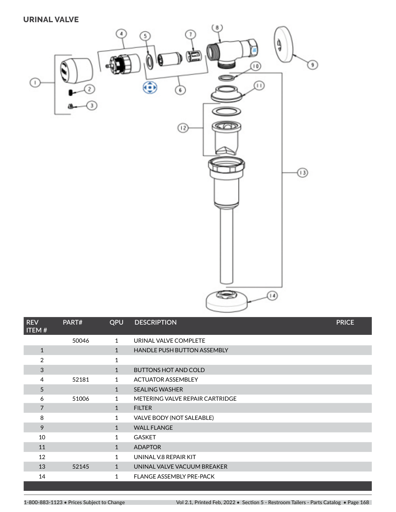#### **URINAL VALVE**



| <b>REV</b><br>ITEM# | PART# | <b>QPU</b>   | <b>DESCRIPTION</b>                 | <b>PRICE</b> |
|---------------------|-------|--------------|------------------------------------|--------------|
|                     | 50046 | 1            | URINAL VALVE COMPLETE              |              |
| $\mathbf 1$         |       | $\mathbf{1}$ | <b>HANDLE PUSH BUTTON ASSEMBLY</b> |              |
| 2                   |       | 1            |                                    |              |
| 3                   |       | $\mathbf 1$  | <b>BUTTONS HOT AND COLD</b>        |              |
| 4                   | 52181 | 1.           | <b>ACTUATOR ASSEMBLEY</b>          |              |
| 5                   |       | $\mathbf{1}$ | <b>SEALING WASHER</b>              |              |
| 6                   | 51006 | $\mathbf{1}$ | METERING VALVE REPAIR CARTRIDGE    |              |
| $\overline{7}$      |       | $\mathbf{1}$ | <b>FILTER</b>                      |              |
| 8                   |       | 1            | VALVE BODY (NOT SALEABLE)          |              |
| 9                   |       | $\mathbf{1}$ | <b>WALL FLANGE</b>                 |              |
| 10                  |       | $\mathbf{1}$ | <b>GASKET</b>                      |              |
| 11                  |       | $\mathbf{1}$ | <b>ADAPTOR</b>                     |              |
| 12                  |       | $\mathbf 1$  | UNINAL V.8 REPAIR KIT              |              |
| 13                  | 52145 | $\mathbf{1}$ | UNINAL VALVE VACUUM BREAKER        |              |
| 14                  |       | 1            | <b>FLANGE ASSEMBLY PRE-PACK</b>    |              |
|                     |       |              |                                    |              |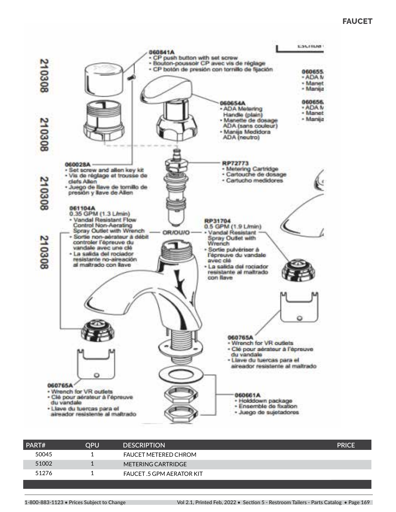#### **FAUCET**



| PART# | OPU | <b>DESCRIPTION</b>               | <b>PRICE</b> |
|-------|-----|----------------------------------|--------------|
| 50045 |     | <b>FAUCET METERED CHROM</b>      |              |
| 51002 |     | METERING CARTRIDGE               |              |
| 51276 |     | <b>FAUCET .5 GPM AERATOR KIT</b> |              |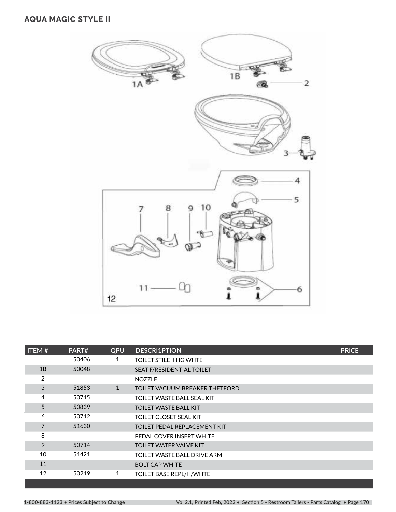#### **AQUA MAGIC STYLE II**



| ITEM#          | PART# | QPU | <b>DESCRI1PTION</b>              | <b>PRICE</b> |
|----------------|-------|-----|----------------------------------|--------------|
|                | 50406 | 1   | TOILET STILE II HG WHTE          |              |
| 1B             | 50048 |     | <b>SEAT F/RESIDENTIAL TOILET</b> |              |
| $\overline{2}$ |       |     | <b>NOZZLE</b>                    |              |
| 3              | 51853 | 1   | TOILET VACUUM BREAKER THETFORD   |              |
| 4              | 50715 |     | TOILET WASTE BALL SEAL KIT       |              |
| 5              | 50839 |     | <b>TOILET WASTE BALL KIT</b>     |              |
| 6              | 50712 |     | TOILET CLOSET SEAL KIT           |              |
| $\overline{7}$ | 51630 |     | TOILET PEDAL REPLACEMENT KIT     |              |
| 8              |       |     | PEDAL COVER INSERT WHITE         |              |
| 9              | 50714 |     | <b>TOILET WATER VALVE KIT</b>    |              |
| 10             | 51421 |     | TOILET WASTE BALL DRIVE ARM      |              |
| 11             |       |     | <b>BOLT CAP WHITE</b>            |              |
| 12             | 50219 | 1   | <b>TOILET BASE REPL/H/WHTE</b>   |              |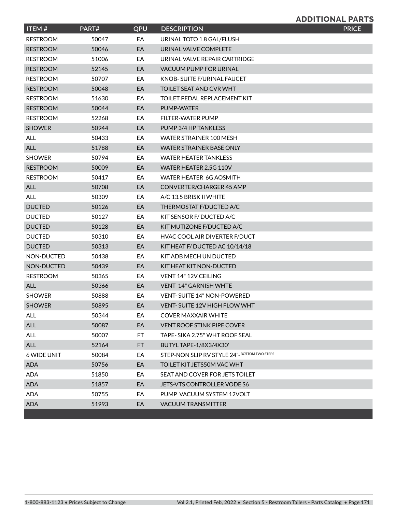#### **ADDITIONAL PARTS**

| ITEM#              | PART# | QPU | <b>DESCRIPTION</b>                          | <b>PRICE</b> |
|--------------------|-------|-----|---------------------------------------------|--------------|
| <b>RESTROOM</b>    | 50047 | EA  | URINAL TOTO 1.8 GAL/FLUSH                   |              |
| <b>RESTROOM</b>    | 50046 | EA  | URINAL VALVE COMPLETE                       |              |
| <b>RESTROOM</b>    | 51006 | EA  | URINAL VALVE REPAIR CARTRIDGE               |              |
| <b>RESTROOM</b>    | 52145 | EA  | <b>VACUUM PUMP FOR URINAL</b>               |              |
| <b>RESTROOM</b>    | 50707 | EA  | KNOB- SUITE F/URINAL FAUCET                 |              |
| <b>RESTROOM</b>    | 50048 | EA  | TOILET SEAT AND CVR WHT                     |              |
| <b>RESTROOM</b>    | 51630 | EA  | TOILET PEDAL REPLACEMENT KIT                |              |
| <b>RESTROOM</b>    | 50044 | EA  | PUMP-WATER                                  |              |
| <b>RESTROOM</b>    | 52268 | EA  | FILTER-WATER PUMP                           |              |
| <b>SHOWER</b>      | 50944 | EA  | PUMP 3/4 HP TANKLESS                        |              |
| <b>ALL</b>         | 50433 | EA  | WATER STRAINER 100 MESH                     |              |
| ALL                | 51788 | EA  | <b>WATER STRAINER BASE ONLY</b>             |              |
| <b>SHOWER</b>      | 50794 | EA  | <b>WATER HEATER TANKLESS</b>                |              |
| <b>RESTROOM</b>    | 50009 | EA  | WATER HEATER 2.5G 110V                      |              |
| <b>RESTROOM</b>    | 50417 | EA  | WATER HEATER 6G AOSMITH                     |              |
| <b>ALL</b>         | 50708 | EA  | CONVERTER/CHARGER 45 AMP                    |              |
| <b>ALL</b>         | 50309 | EA  | A/C 13.5 BRISK II WHITE                     |              |
| <b>DUCTED</b>      | 50126 | EA  | THERMOSTAT F/DUCTED A/C                     |              |
| <b>DUCTED</b>      | 50127 | EA  | KIT SENSOR F/ DUCTED A/C                    |              |
| <b>DUCTED</b>      | 50128 | EA  | KIT MUTIZONE F/DUCTED A/C                   |              |
| <b>DUCTED</b>      | 50310 | EA  | <b>HVAC COOL AIR DIVERTER F/DUCT</b>        |              |
| <b>DUCTED</b>      | 50313 | EA  | KIT HEAT F/DUCTED AC 10/14/18               |              |
| NON-DUCTED         | 50438 | EA  | KIT ADB MECH UN DUCTED                      |              |
| NON-DUCTED         | 50439 | EA  | KIT HEAT KIT NON-DUCTED                     |              |
| <b>RESTROOM</b>    | 50365 | EA  | VENT 14" 12V CEILING                        |              |
| <b>ALL</b>         | 50366 | EA  | <b>VENT 14" GARNISH WHTE</b>                |              |
| <b>SHOWER</b>      | 50888 | EA  | <b>VENT-SUITE 14" NON-POWERED</b>           |              |
| <b>SHOWER</b>      | 50895 | EA  | VENT-SUITE 12V HIGH FLOW WHT                |              |
| ALL                | 50344 | EA  | COVER MAXXAIR WHITE                         |              |
| ALL                | 50087 | EA  | <b>VENT ROOF STINK PIPE COVER</b>           |              |
| <b>ALL</b>         | 50007 | FT. | TAPE-SIKA 2.75" WHT ROOF SEAL               |              |
| ALL                | 52164 | FT  | BUTYL TAPE-1/8X3/4X30'                      |              |
| <b>6 WIDE UNIT</b> | 50084 | EA  | STEP-NON SLIP RV STYLE 24"-BOTTOM TWO STEPS |              |
| <b>ADA</b>         | 50756 | EA  | TOILET KIT JETS50M VAC WHT                  |              |
| <b>ADA</b>         | 51850 | EA  | SEAT AND COVER FOR JETS TOILET              |              |
| <b>ADA</b>         | 51857 | EA  | JETS-VTS CONTROLLER VODE S6                 |              |
| <b>ADA</b>         | 50755 | EA  | PUMP VACUUM SYSTEM 12VOLT                   |              |
| <b>ADA</b>         | 51993 | EA  | <b>VACUUM TRANSMITTER</b>                   |              |